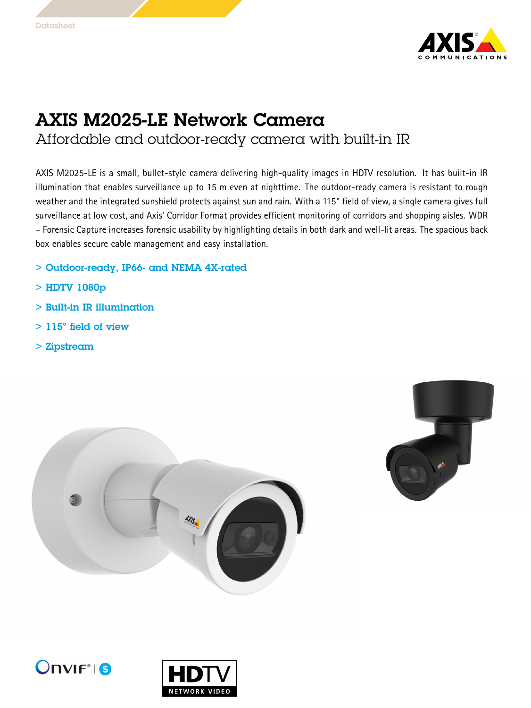

## AXIS M2025-LE Network Camera Affordable and outdoor-ready camera with built-in IR

AXIS M2025-LE is <sup>a</sup> small, bullet-style camera delivering high-quality images in HDTV resolution. It has built-in IR illumination that enables surveillance up to 15 <sup>m</sup> even at nighttime. The outdoor-ready camera is resistant to rough weather and the integrated sunshield protects against sun and rain. With <sup>a</sup> 115° field of view, <sup>a</sup> single camera gives full surveillance at low cost, and Axis' Corridor Format provides efficient monitoring of corridors and shopping aisles. WDR – Forensic Capture increases forensic usability by highlighting details in both dark and well-lit areas. The spacious back box enables secure cable management and easy installation.

- > Outdoor-ready, IP66- and NEMA 4X-rated
- > HDTV 1080p
- > Built-in IR illumination
- > 115° field of view
- > Zipstream